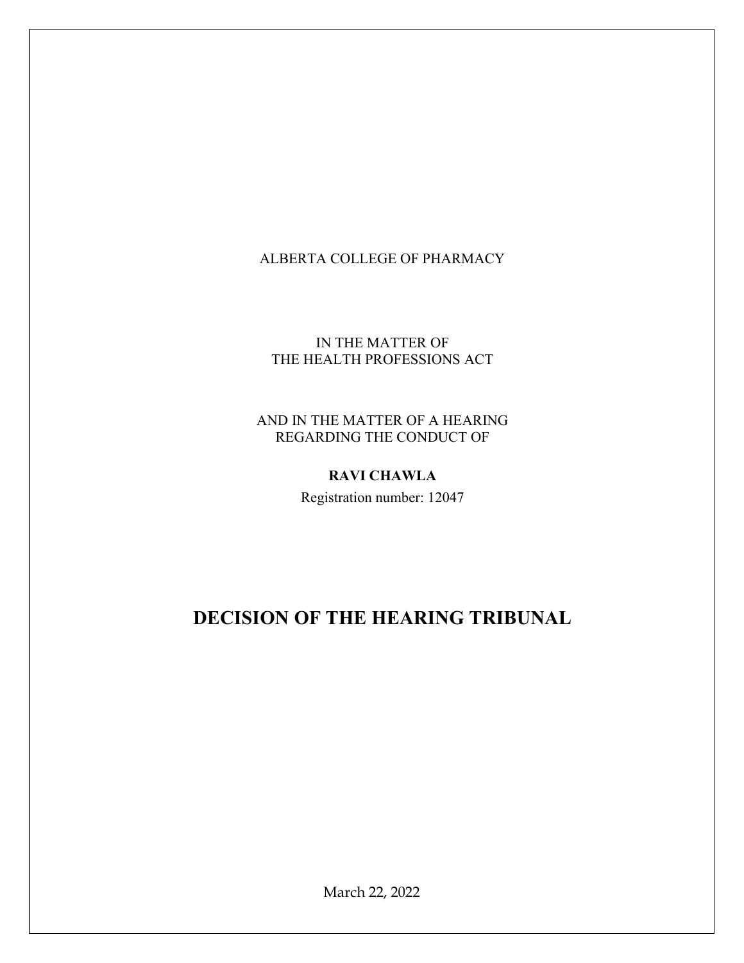# ALBERTA COLLEGE OF PHARMACY

# IN THE MATTER OF THE HEALTH PROFESSIONS ACT

### AND IN THE MATTER OF A HEARING REGARDING THE CONDUCT OF

## RAVI CHAWLA

Registration number: 12047

# DECISION OF THE HEARING TRIBUNAL

March 22, 2022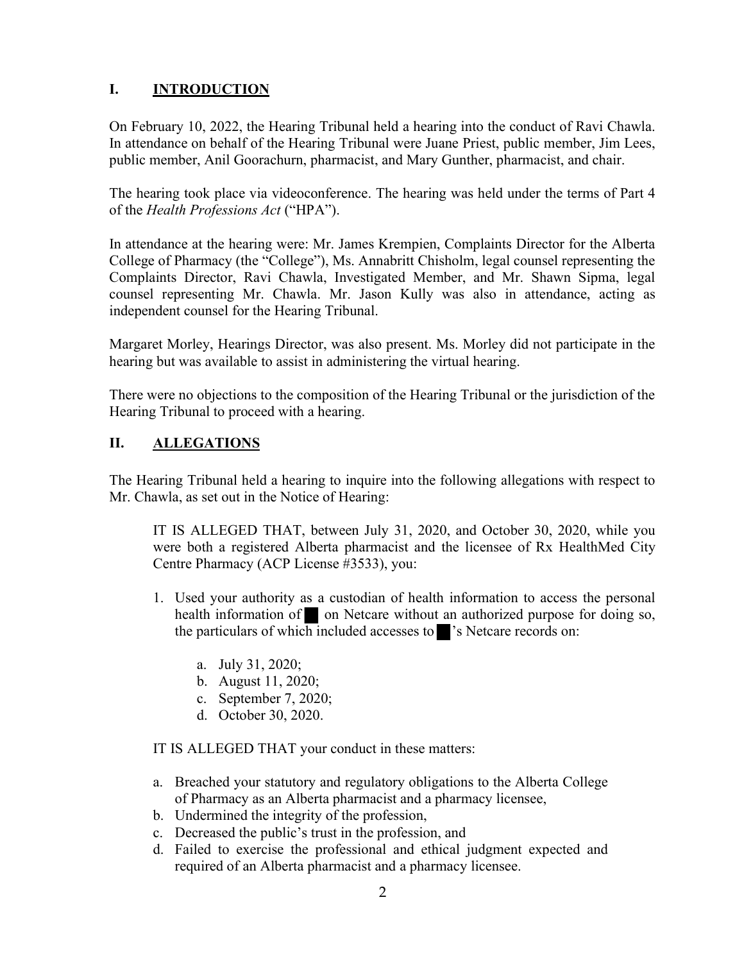# I. INTRODUCTION

On February 10, 2022, the Hearing Tribunal held a hearing into the conduct of Ravi Chawla. In attendance on behalf of the Hearing Tribunal were Juane Priest, public member, Jim Lees, public member, Anil Goorachurn, pharmacist, and Mary Gunther, pharmacist, and chair.

The hearing took place via videoconference. The hearing was held under the terms of Part 4 of the Health Professions Act ("HPA").

In attendance at the hearing were: Mr. James Krempien, Complaints Director for the Alberta College of Pharmacy (the "College"), Ms. Annabritt Chisholm, legal counsel representing the Complaints Director, Ravi Chawla, Investigated Member, and Mr. Shawn Sipma, legal counsel representing Mr. Chawla. Mr. Jason Kully was also in attendance, acting as independent counsel for the Hearing Tribunal.

Margaret Morley, Hearings Director, was also present. Ms. Morley did not participate in the hearing but was available to assist in administering the virtual hearing.

There were no objections to the composition of the Hearing Tribunal or the jurisdiction of the Hearing Tribunal to proceed with a hearing.

# II. ALLEGATIONS

The Hearing Tribunal held a hearing to inquire into the following allegations with respect to Mr. Chawla, as set out in the Notice of Hearing:

IT IS ALLEGED THAT, between July 31, 2020, and October 30, 2020, while you were both a registered Alberta pharmacist and the licensee of Rx HealthMed City Centre Pharmacy (ACP License #3533), you:

- 1. Used your authority as a custodian of health information to access the personal health information of on Netcare without an authorized purpose for doing so, the particulars of which included accesses to  $\mathbf{S}$  's Netcare records on:
	- a. July 31, 2020;
	- b. August 11, 2020;
	- c. September 7, 2020;
	- d. October 30, 2020.

IT IS ALLEGED THAT your conduct in these matters:

- a. Breached your statutory and regulatory obligations to the Alberta College of Pharmacy as an Alberta pharmacist and a pharmacy licensee,
- b. Undermined the integrity of the profession,
- c. Decreased the public's trust in the profession, and
- d. Failed to exercise the professional and ethical judgment expected and required of an Alberta pharmacist and a pharmacy licensee.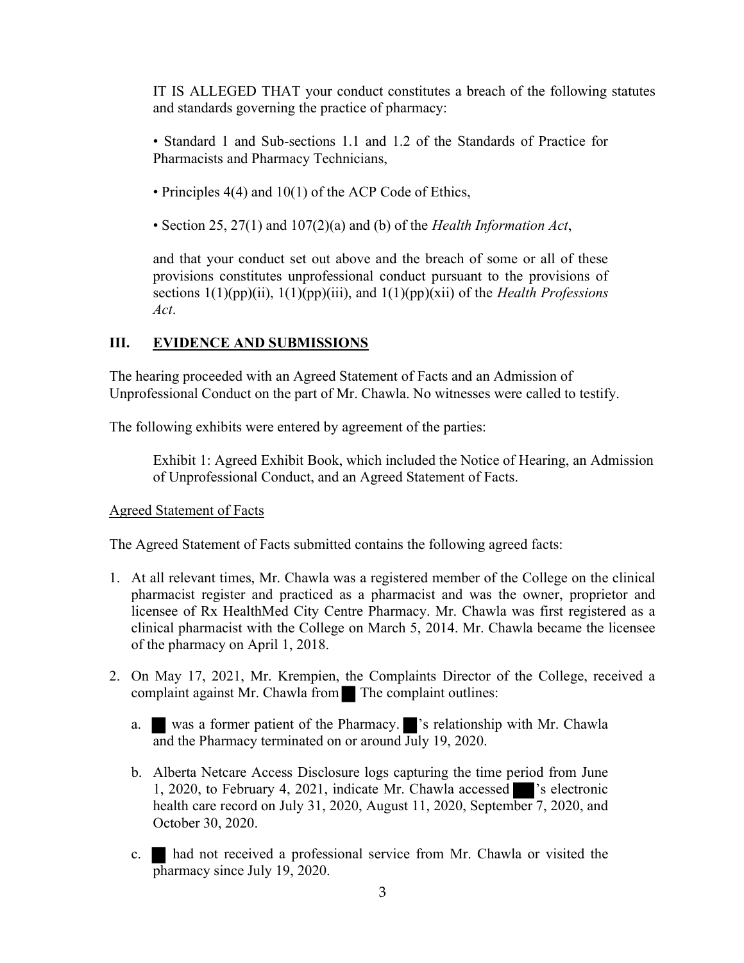IT IS ALLEGED THAT your conduct constitutes a breach of the following statutes and standards governing the practice of pharmacy:

• Standard 1 and Sub-sections 1.1 and 1.2 of the Standards of Practice for Pharmacists and Pharmacy Technicians,

- Principles 4(4) and 10(1) of the ACP Code of Ethics,
- Section 25, 27(1) and 107(2)(a) and (b) of the *Health Information Act*,

and that your conduct set out above and the breach of some or all of these provisions constitutes unprofessional conduct pursuant to the provisions of sections  $1(1)(pp)(ii)$ ,  $1(1)(pp)(iii)$ , and  $1(1)(pp)(xii)$  of the *Health Professions* Act.

## III. EVIDENCE AND SUBMISSIONS

The hearing proceeded with an Agreed Statement of Facts and an Admission of Unprofessional Conduct on the part of Mr. Chawla. No witnesses were called to testify.

The following exhibits were entered by agreement of the parties:

Exhibit 1: Agreed Exhibit Book, which included the Notice of Hearing, an Admission of Unprofessional Conduct, and an Agreed Statement of Facts.

#### Agreed Statement of Facts

The Agreed Statement of Facts submitted contains the following agreed facts:

- 1. At all relevant times, Mr. Chawla was a registered member of the College on the clinical pharmacist register and practiced as a pharmacist and was the owner, proprietor and licensee of Rx HealthMed City Centre Pharmacy. Mr. Chawla was first registered as a clinical pharmacist with the College on March 5, 2014. Mr. Chawla became the licensee of the pharmacy on April 1, 2018.
- 2. On May 17, 2021, Mr. Krempien, the Complaints Director of the College, received a complaint against Mr. Chawla from The complaint outlines:
	- a. was a former patient of the Pharmacy. 's relationship with Mr. Chawla and the Pharmacy terminated on or around July 19, 2020.
	- b. Alberta Netcare Access Disclosure logs capturing the time period from June 1, 2020, to February 4, 2021, indicate Mr. Chawla accessed 's electronic health care record on July 31, 2020, August 11, 2020, September 7, 2020, and October 30, 2020.
	- c. had not received a professional service from Mr. Chawla or visited the pharmacy since July 19, 2020.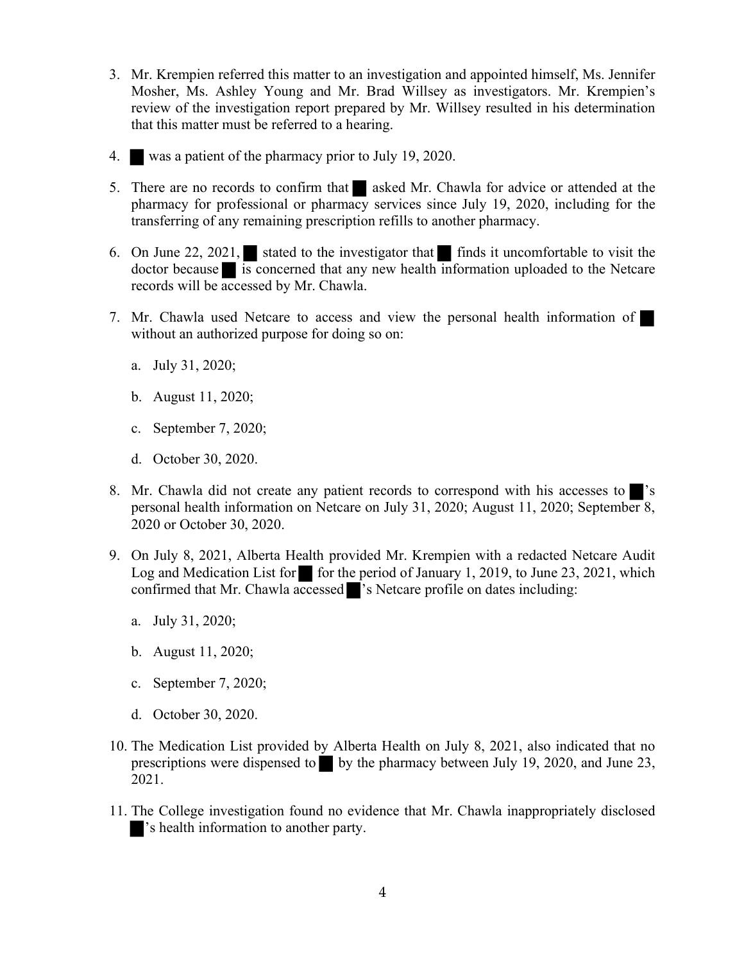- 3. Mr. Krempien referred this matter to an investigation and appointed himself, Ms. Jennifer Mosher, Ms. Ashley Young and Mr. Brad Willsey as investigators. Mr. Krempien's review of the investigation report prepared by Mr. Willsey resulted in his determination that this matter must be referred to a hearing.
- 4. was a patient of the pharmacy prior to July 19, 2020.
- 5. There are no records to confirm that asked Mr. Chawla for advice or attended at the pharmacy for professional or pharmacy services since July 19, 2020, including for the transferring of any remaining prescription refills to another pharmacy.
- 6. On June 22, 2021, stated to the investigator that finds it uncomfortable to visit the doctor because is concerned that any new health information uploaded to the Netcare records will be accessed by Mr. Chawla.
- 7. Mr. Chawla used Netcare to access and view the personal health information of without an authorized purpose for doing so on:
	- a. July 31, 2020;
	- b. August 11, 2020;
	- c. September 7, 2020;
	- d. October 30, 2020.
- 8. Mr. Chawla did not create any patient records to correspond with his accesses to personal health information on Netcare on July 31, 2020; August 11, 2020; September 8, 2020 or October 30, 2020.
- 9. On July 8, 2021, Alberta Health provided Mr. Krempien with a redacted Netcare Audit Log and Medication List for for the period of January 1, 2019, to June 23, 2021, which confirmed that Mr. Chawla accessed 's Netcare profile on dates including:
	- a. July 31, 2020;
	- b. August 11, 2020;
	- c. September 7, 2020;
	- d. October 30, 2020.
- 10. The Medication List provided by Alberta Health on July 8, 2021, also indicated that no prescriptions were dispensed to by the pharmacy between July 19, 2020, and June 23, 2021.
- 11. The College investigation found no evidence that Mr. Chawla inappropriately disclosed 's health information to another party.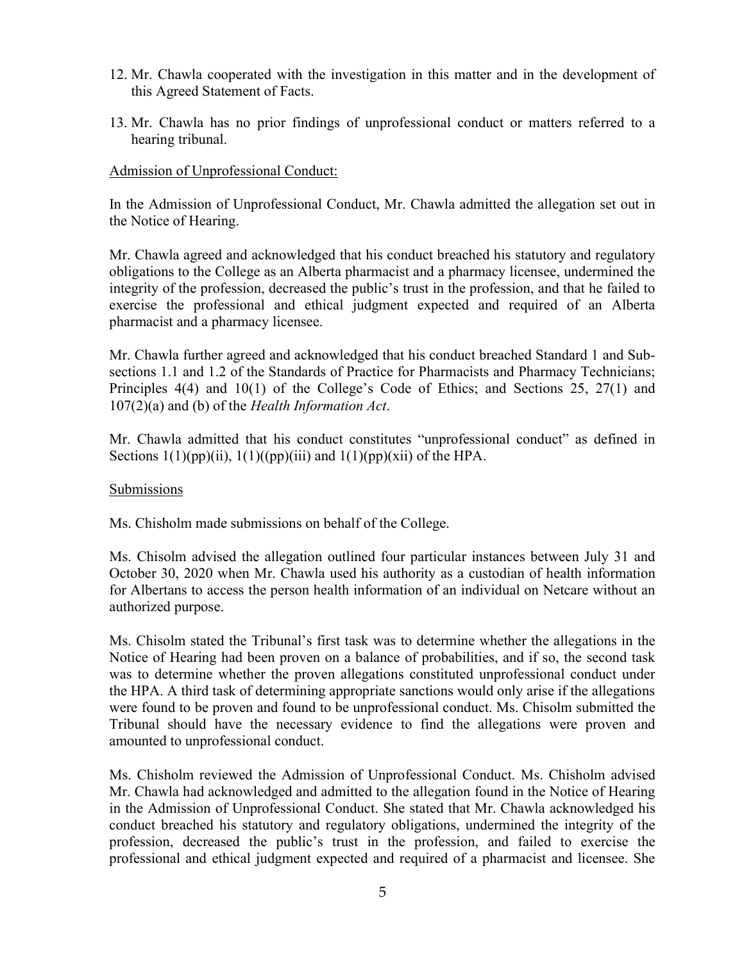- 12. Mr. Chawla cooperated with the investigation in this matter and in the development of this Agreed Statement of Facts.
- 13. Mr. Chawla has no prior findings of unprofessional conduct or matters referred to a hearing tribunal.

#### Admission of Unprofessional Conduct:

In the Admission of Unprofessional Conduct, Mr. Chawla admitted the allegation set out in the Notice of Hearing.

Mr. Chawla agreed and acknowledged that his conduct breached his statutory and regulatory obligations to the College as an Alberta pharmacist and a pharmacy licensee, undermined the integrity of the profession, decreased the public's trust in the profession, and that he failed to exercise the professional and ethical judgment expected and required of an Alberta pharmacist and a pharmacy licensee.

Mr. Chawla further agreed and acknowledged that his conduct breached Standard 1 and Subsections 1.1 and 1.2 of the Standards of Practice for Pharmacists and Pharmacy Technicians; Principles 4(4) and 10(1) of the College's Code of Ethics; and Sections 25, 27(1) and  $107(2)(a)$  and (b) of the Health Information Act.

Mr. Chawla admitted that his conduct constitutes "unprofessional conduct" as defined in Sections  $1(1)(pp)(ii)$ ,  $1(1)((pp)(iii)$  and  $1(1)(pp)(xii)$  of the HPA.

#### Submissions

Ms. Chisholm made submissions on behalf of the College.

Ms. Chisolm advised the allegation outlined four particular instances between July 31 and October 30, 2020 when Mr. Chawla used his authority as a custodian of health information for Albertans to access the person health information of an individual on Netcare without an authorized purpose.

Ms. Chisolm stated the Tribunal's first task was to determine whether the allegations in the Notice of Hearing had been proven on a balance of probabilities, and if so, the second task was to determine whether the proven allegations constituted unprofessional conduct under the HPA. A third task of determining appropriate sanctions would only arise if the allegations were found to be proven and found to be unprofessional conduct. Ms. Chisolm submitted the Tribunal should have the necessary evidence to find the allegations were proven and amounted to unprofessional conduct.

Ms. Chisholm reviewed the Admission of Unprofessional Conduct. Ms. Chisholm advised Mr. Chawla had acknowledged and admitted to the allegation found in the Notice of Hearing in the Admission of Unprofessional Conduct. She stated that Mr. Chawla acknowledged his conduct breached his statutory and regulatory obligations, undermined the integrity of the profession, decreased the public's trust in the profession, and failed to exercise the professional and ethical judgment expected and required of a pharmacist and licensee. She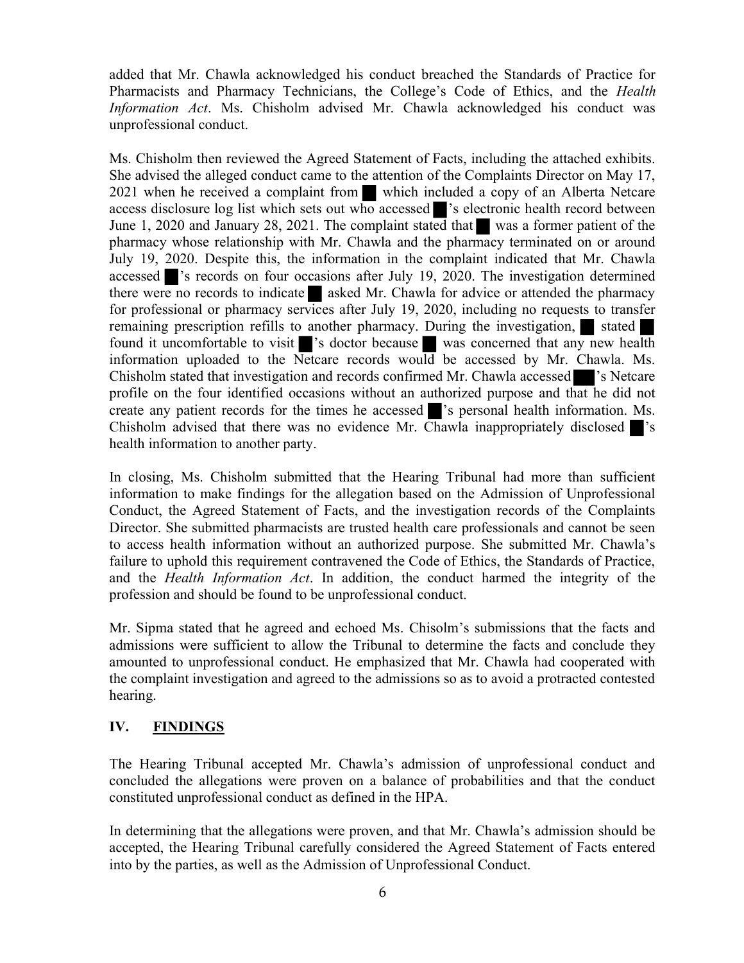added that Mr. Chawla acknowledged his conduct breached the Standards of Practice for Pharmacists and Pharmacy Technicians, the College's Code of Ethics, and the Health Information Act. Ms. Chisholm advised Mr. Chawla acknowledged his conduct was unprofessional conduct.

Ms. Chisholm then reviewed the Agreed Statement of Facts, including the attached exhibits. She advised the alleged conduct came to the attention of the Complaints Director on May 17, 2021 when he received a complaint from which included a copy of an Alberta Netcare access disclosure log list which sets out who accessed  $\blacksquare$ 's electronic health record between June 1, 2020 and January 28, 2021. The complaint stated that was a former patient of the pharmacy whose relationship with Mr. Chawla and the pharmacy terminated on or around July 19, 2020. Despite this, the information in the complaint indicated that Mr. Chawla accessed  $\blacksquare$ 's records on four occasions after July 19, 2020. The investigation determined there were no records to indicate asked Mr. Chawla for advice or attended the pharmacy for professional or pharmacy services after July 19, 2020, including no requests to transfer remaining prescription refills to another pharmacy. During the investigation, stated found it uncomfortable to visit 's doctor because was concerned that any new health information uploaded to the Netcare records would be accessed by Mr. Chawla. Ms. Chisholm stated that investigation and records confirmed Mr. Chawla accessed 's Netcare profile on the four identified occasions without an authorized purpose and that he did not create any patient records for the times he accessed  $\blacksquare$ 's personal health information. Ms. Chisholm advised that there was no evidence Mr. Chawla inappropriately disclosed 's health information to another party.

In closing, Ms. Chisholm submitted that the Hearing Tribunal had more than sufficient information to make findings for the allegation based on the Admission of Unprofessional Conduct, the Agreed Statement of Facts, and the investigation records of the Complaints Director. She submitted pharmacists are trusted health care professionals and cannot be seen to access health information without an authorized purpose. She submitted Mr. Chawla's failure to uphold this requirement contravened the Code of Ethics, the Standards of Practice, and the Health Information Act. In addition, the conduct harmed the integrity of the profession and should be found to be unprofessional conduct.

Mr. Sipma stated that he agreed and echoed Ms. Chisolm's submissions that the facts and admissions were sufficient to allow the Tribunal to determine the facts and conclude they amounted to unprofessional conduct. He emphasized that Mr. Chawla had cooperated with the complaint investigation and agreed to the admissions so as to avoid a protracted contested hearing.

# IV. FINDINGS

The Hearing Tribunal accepted Mr. Chawla's admission of unprofessional conduct and concluded the allegations were proven on a balance of probabilities and that the conduct constituted unprofessional conduct as defined in the HPA.

In determining that the allegations were proven, and that Mr. Chawla's admission should be accepted, the Hearing Tribunal carefully considered the Agreed Statement of Facts entered into by the parties, as well as the Admission of Unprofessional Conduct.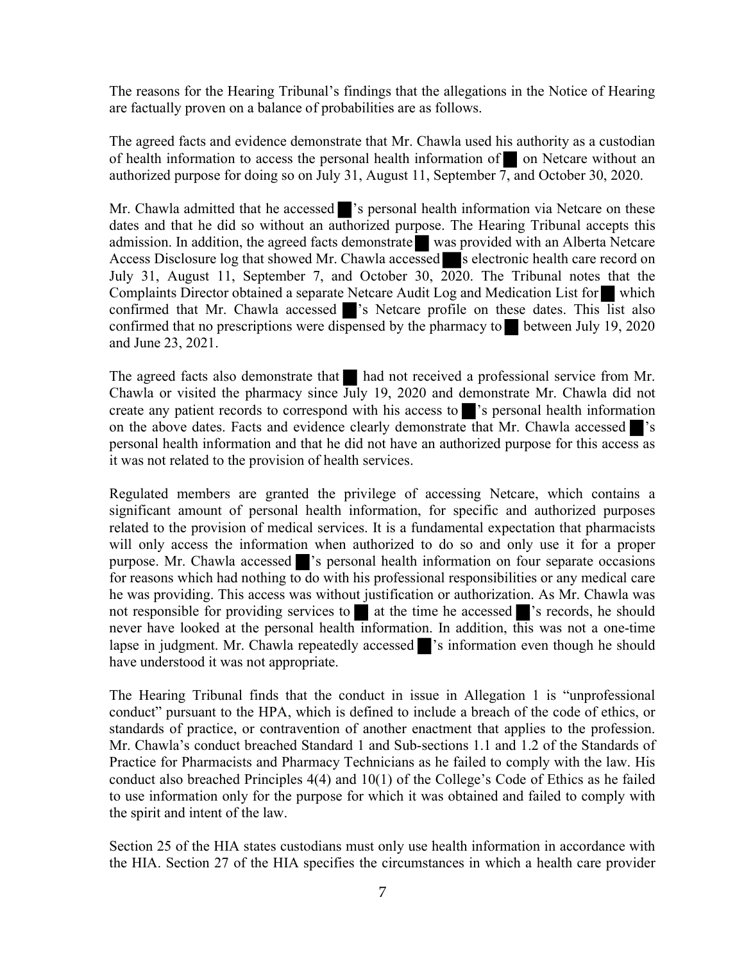The reasons for the Hearing Tribunal's findings that the allegations in the Notice of Hearing are factually proven on a balance of probabilities are as follows.

The agreed facts and evidence demonstrate that Mr. Chawla used his authority as a custodian of health information to access the personal health information of on Netcare without an authorized purpose for doing so on July 31, August 11, September  $\overline{7}$ , and October 30, 2020.

Mr. Chawla admitted that he accessed single is personal health information via Netcare on these dates and that he did so without an authorized purpose. The Hearing Tribunal accepts this admission. In addition, the agreed facts demonstrate was provided with an Alberta Netcare Access Disclosure log that showed Mr. Chawla accessed  $\blacksquare$  s electronic health care record on July 31, August 11, September 7, and October 30, 2020. The Tribunal notes that the Complaints Director obtained a separate Netcare Audit Log and Medication List for which confirmed that Mr. Chawla accessed  $\triangleright$ 's Netcare profile on these dates. This list also confirmed that no prescriptions were dispensed by the pharmacy to between July 19, 2020 and June 23, 2021.

The agreed facts also demonstrate that had not received a professional service from Mr. Chawla or visited the pharmacy since July 19, 2020 and demonstrate Mr. Chawla did not create any patient records to correspond with his access to 's personal health information on the above dates. Facts and evidence clearly demonstrate that Mr. Chawla accessed 's personal health information and that he did not have an authorized purpose for this access as it was not related to the provision of health services.

Regulated members are granted the privilege of accessing Netcare, which contains a significant amount of personal health information, for specific and authorized purposes related to the provision of medical services. It is a fundamental expectation that pharmacists will only access the information when authorized to do so and only use it for a proper purpose. Mr. Chawla accessed 's personal health information on four separate occasions for reasons which had nothing to do with his professional responsibilities or any medical care he was providing. This access was without justification or authorization. As Mr. Chawla was not responsible for providing services to  $\blacksquare$  at the time he accessed  $\blacksquare$ 's records, he should never have looked at the personal health information. In addition, this was not a one-time lapse in judgment. Mr. Chawla repeatedly accessed 's information even though he should have understood it was not appropriate.

The Hearing Tribunal finds that the conduct in issue in Allegation 1 is "unprofessional conduct" pursuant to the HPA, which is defined to include a breach of the code of ethics, or standards of practice, or contravention of another enactment that applies to the profession. Mr. Chawla's conduct breached Standard 1 and Sub-sections 1.1 and 1.2 of the Standards of Practice for Pharmacists and Pharmacy Technicians as he failed to comply with the law. His conduct also breached Principles 4(4) and 10(1) of the College's Code of Ethics as he failed to use information only for the purpose for which it was obtained and failed to comply with the spirit and intent of the law.

Section 25 of the HIA states custodians must only use health information in accordance with the HIA. Section 27 of the HIA specifies the circumstances in which a health care provider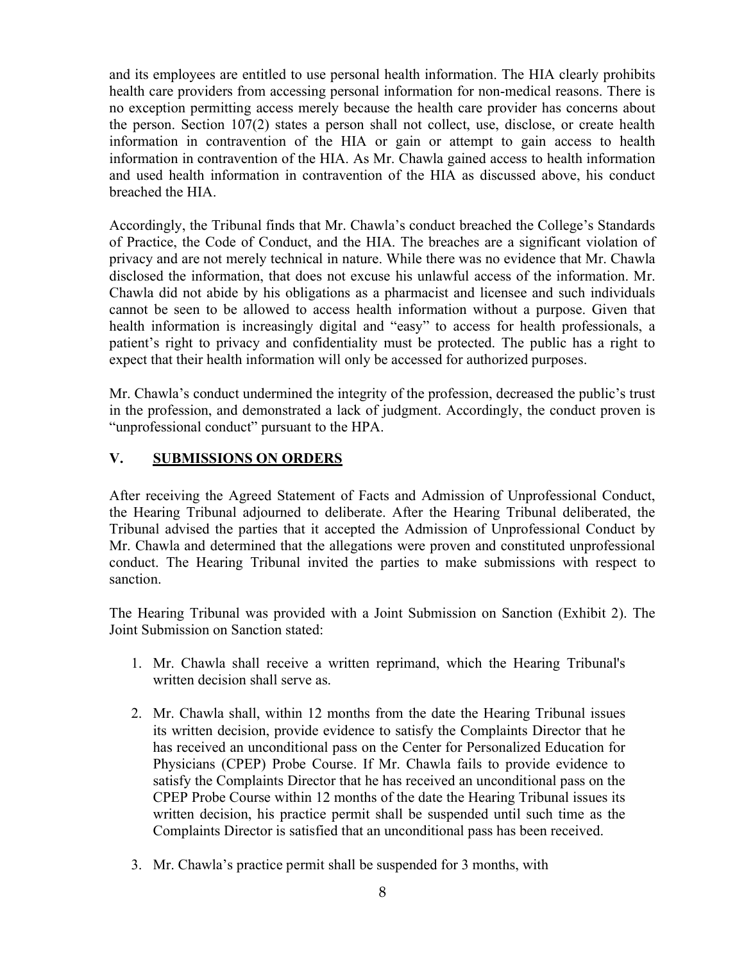and its employees are entitled to use personal health information. The HIA clearly prohibits health care providers from accessing personal information for non-medical reasons. There is no exception permitting access merely because the health care provider has concerns about the person. Section 107(2) states a person shall not collect, use, disclose, or create health information in contravention of the HIA or gain or attempt to gain access to health information in contravention of the HIA. As Mr. Chawla gained access to health information and used health information in contravention of the HIA as discussed above, his conduct breached the HIA.

Accordingly, the Tribunal finds that Mr. Chawla's conduct breached the College's Standards of Practice, the Code of Conduct, and the HIA. The breaches are a significant violation of privacy and are not merely technical in nature. While there was no evidence that Mr. Chawla disclosed the information, that does not excuse his unlawful access of the information. Mr. Chawla did not abide by his obligations as a pharmacist and licensee and such individuals cannot be seen to be allowed to access health information without a purpose. Given that health information is increasingly digital and "easy" to access for health professionals, a patient's right to privacy and confidentiality must be protected. The public has a right to expect that their health information will only be accessed for authorized purposes.

Mr. Chawla's conduct undermined the integrity of the profession, decreased the public's trust in the profession, and demonstrated a lack of judgment. Accordingly, the conduct proven is "unprofessional conduct" pursuant to the HPA.

# V. SUBMISSIONS ON ORDERS

After receiving the Agreed Statement of Facts and Admission of Unprofessional Conduct, the Hearing Tribunal adjourned to deliberate. After the Hearing Tribunal deliberated, the Tribunal advised the parties that it accepted the Admission of Unprofessional Conduct by Mr. Chawla and determined that the allegations were proven and constituted unprofessional conduct. The Hearing Tribunal invited the parties to make submissions with respect to sanction.

The Hearing Tribunal was provided with a Joint Submission on Sanction (Exhibit 2). The Joint Submission on Sanction stated:

- 1. Mr. Chawla shall receive a written reprimand, which the Hearing Tribunal's written decision shall serve as.
- 2. Mr. Chawla shall, within 12 months from the date the Hearing Tribunal issues its written decision, provide evidence to satisfy the Complaints Director that he has received an unconditional pass on the Center for Personalized Education for Physicians (CPEP) Probe Course. If Mr. Chawla fails to provide evidence to satisfy the Complaints Director that he has received an unconditional pass on the CPEP Probe Course within 12 months of the date the Hearing Tribunal issues its written decision, his practice permit shall be suspended until such time as the Complaints Director is satisfied that an unconditional pass has been received.
- 3. Mr. Chawla's practice permit shall be suspended for 3 months, with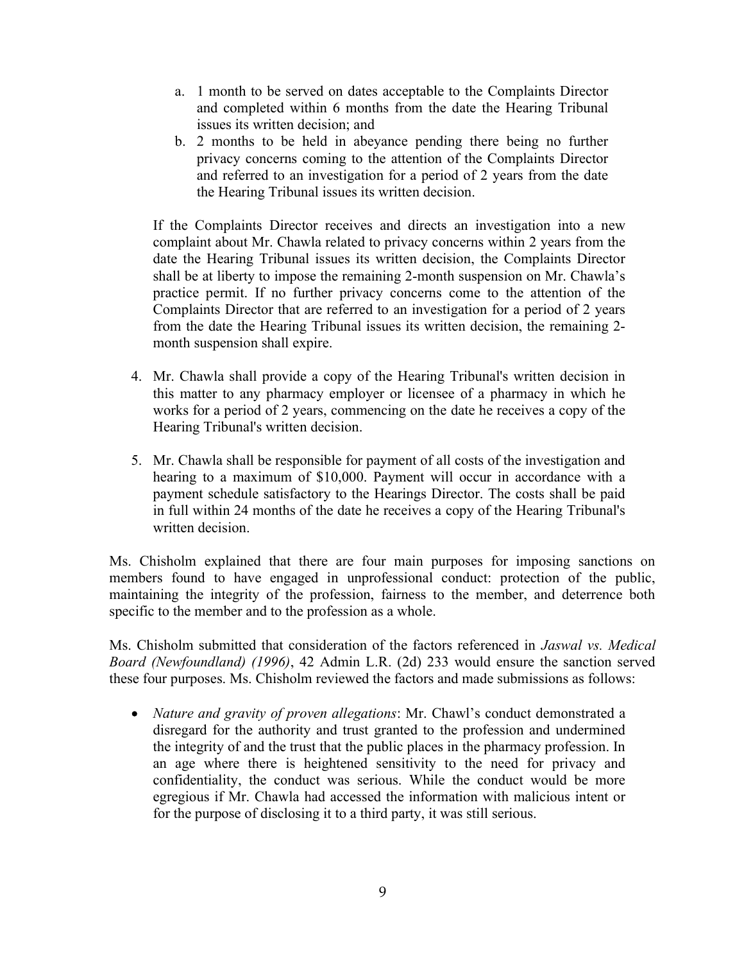- a. 1 month to be served on dates acceptable to the Complaints Director and completed within 6 months from the date the Hearing Tribunal issues its written decision; and
- b. 2 months to be held in abeyance pending there being no further privacy concerns coming to the attention of the Complaints Director and referred to an investigation for a period of 2 years from the date the Hearing Tribunal issues its written decision.

If the Complaints Director receives and directs an investigation into a new complaint about Mr. Chawla related to privacy concerns within 2 years from the date the Hearing Tribunal issues its written decision, the Complaints Director shall be at liberty to impose the remaining 2-month suspension on Mr. Chawla's practice permit. If no further privacy concerns come to the attention of the Complaints Director that are referred to an investigation for a period of 2 years from the date the Hearing Tribunal issues its written decision, the remaining 2 month suspension shall expire.

- 4. Mr. Chawla shall provide a copy of the Hearing Tribunal's written decision in this matter to any pharmacy employer or licensee of a pharmacy in which he works for a period of 2 years, commencing on the date he receives a copy of the Hearing Tribunal's written decision.
- 5. Mr. Chawla shall be responsible for payment of all costs of the investigation and hearing to a maximum of \$10,000. Payment will occur in accordance with a payment schedule satisfactory to the Hearings Director. The costs shall be paid in full within 24 months of the date he receives a copy of the Hearing Tribunal's written decision.

Ms. Chisholm explained that there are four main purposes for imposing sanctions on members found to have engaged in unprofessional conduct: protection of the public, maintaining the integrity of the profession, fairness to the member, and deterrence both specific to the member and to the profession as a whole.

Ms. Chisholm submitted that consideration of the factors referenced in *Jaswal vs. Medical* Board (Newfoundland) (1996), 42 Admin L.R. (2d) 233 would ensure the sanction served these four purposes. Ms. Chisholm reviewed the factors and made submissions as follows:

• *Nature and gravity of proven allegations:* Mr. Chawl's conduct demonstrated a disregard for the authority and trust granted to the profession and undermined the integrity of and the trust that the public places in the pharmacy profession. In an age where there is heightened sensitivity to the need for privacy and confidentiality, the conduct was serious. While the conduct would be more egregious if Mr. Chawla had accessed the information with malicious intent or for the purpose of disclosing it to a third party, it was still serious.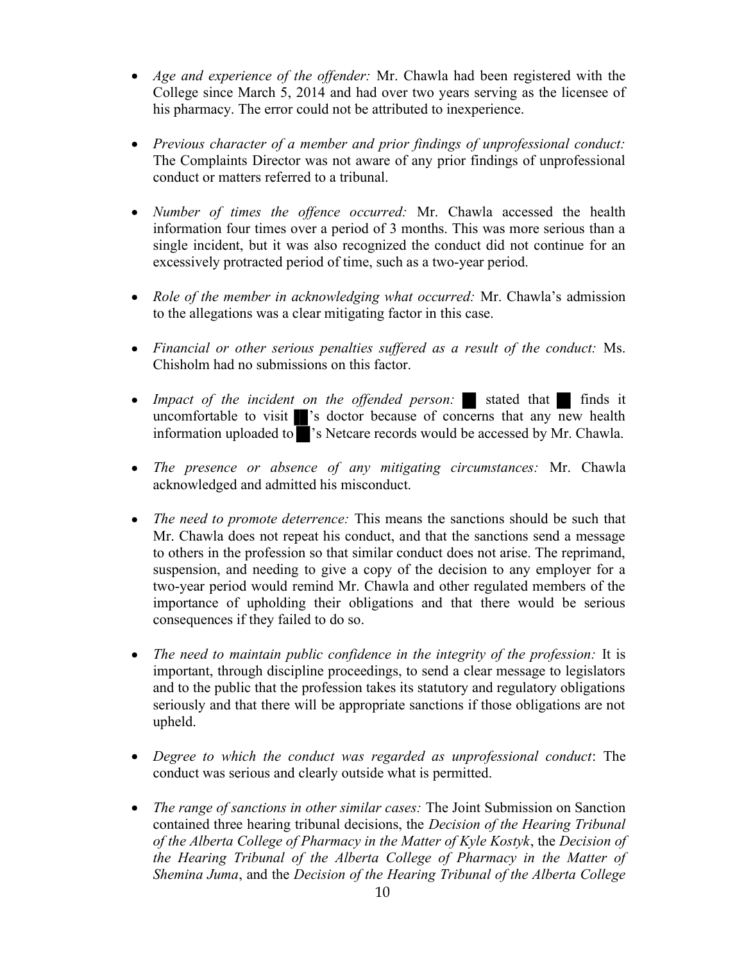- Age and experience of the offender: Mr. Chawla had been registered with the College since March 5, 2014 and had over two years serving as the licensee of his pharmacy. The error could not be attributed to inexperience.
- Previous character of a member and prior findings of unprofessional conduct: The Complaints Director was not aware of any prior findings of unprofessional conduct or matters referred to a tribunal.
- Number of times the offence occurred: Mr. Chawla accessed the health information four times over a period of 3 months. This was more serious than a single incident, but it was also recognized the conduct did not continue for an excessively protracted period of time, such as a two-year period.
- Role of the member in acknowledging what occurred: Mr. Chawla's admission to the allegations was a clear mitigating factor in this case.
- Financial or other serious penalties suffered as a result of the conduct: Ms. Chisholm had no submissions on this factor.
- Impact of the incident on the offended person: stated that finds it uncomfortable to visit 's doctor because of concerns that any new health information uploaded to 's Netcare records would be accessed by Mr. Chawla.
- The presence or absence of any mitigating circumstances: Mr. Chawla acknowledged and admitted his misconduct.
- The need to promote deterrence: This means the sanctions should be such that Mr. Chawla does not repeat his conduct, and that the sanctions send a message to others in the profession so that similar conduct does not arise. The reprimand, suspension, and needing to give a copy of the decision to any employer for a two-year period would remind Mr. Chawla and other regulated members of the importance of upholding their obligations and that there would be serious consequences if they failed to do so.
- The need to maintain public confidence in the integrity of the profession: It is important, through discipline proceedings, to send a clear message to legislators and to the public that the profession takes its statutory and regulatory obligations seriously and that there will be appropriate sanctions if those obligations are not upheld.
- Degree to which the conduct was regarded as unprofessional conduct: The conduct was serious and clearly outside what is permitted.
- The range of sanctions in other similar cases: The Joint Submission on Sanction contained three hearing tribunal decisions, the Decision of the Hearing Tribunal of the Alberta College of Pharmacy in the Matter of Kyle Kostyk, the Decision of the Hearing Tribunal of the Alberta College of Pharmacy in the Matter of Shemina Juma, and the Decision of the Hearing Tribunal of the Alberta College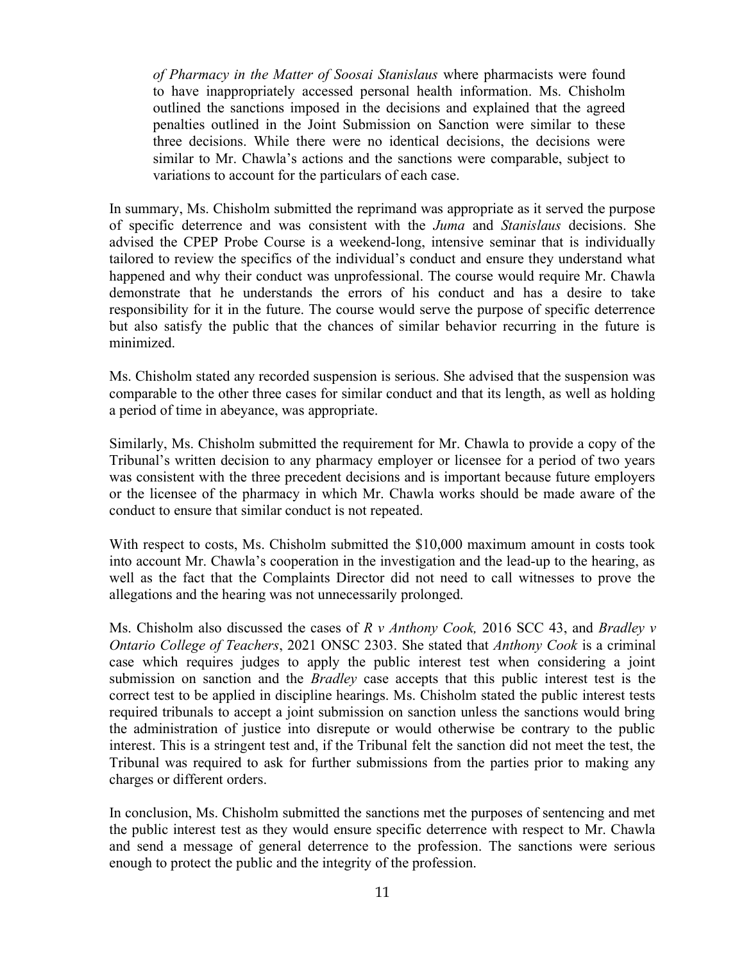of Pharmacy in the Matter of Soosai Stanislaus where pharmacists were found to have inappropriately accessed personal health information. Ms. Chisholm outlined the sanctions imposed in the decisions and explained that the agreed penalties outlined in the Joint Submission on Sanction were similar to these three decisions. While there were no identical decisions, the decisions were similar to Mr. Chawla's actions and the sanctions were comparable, subject to variations to account for the particulars of each case.

In summary, Ms. Chisholm submitted the reprimand was appropriate as it served the purpose of specific deterrence and was consistent with the Juma and Stanislaus decisions. She advised the CPEP Probe Course is a weekend-long, intensive seminar that is individually tailored to review the specifics of the individual's conduct and ensure they understand what happened and why their conduct was unprofessional. The course would require Mr. Chawla demonstrate that he understands the errors of his conduct and has a desire to take responsibility for it in the future. The course would serve the purpose of specific deterrence but also satisfy the public that the chances of similar behavior recurring in the future is minimized.

Ms. Chisholm stated any recorded suspension is serious. She advised that the suspension was comparable to the other three cases for similar conduct and that its length, as well as holding a period of time in abeyance, was appropriate.

Similarly, Ms. Chisholm submitted the requirement for Mr. Chawla to provide a copy of the Tribunal's written decision to any pharmacy employer or licensee for a period of two years was consistent with the three precedent decisions and is important because future employers or the licensee of the pharmacy in which Mr. Chawla works should be made aware of the conduct to ensure that similar conduct is not repeated.

With respect to costs, Ms. Chisholm submitted the \$10,000 maximum amount in costs took into account Mr. Chawla's cooperation in the investigation and the lead-up to the hearing, as well as the fact that the Complaints Director did not need to call witnesses to prove the allegations and the hearing was not unnecessarily prolonged.

Ms. Chisholm also discussed the cases of  $R \nu$  Anthony Cook, 2016 SCC 43, and Bradley  $\nu$ Ontario College of Teachers, 2021 ONSC 2303. She stated that Anthony Cook is a criminal case which requires judges to apply the public interest test when considering a joint submission on sanction and the *Bradley* case accepts that this public interest test is the correct test to be applied in discipline hearings. Ms. Chisholm stated the public interest tests required tribunals to accept a joint submission on sanction unless the sanctions would bring the administration of justice into disrepute or would otherwise be contrary to the public interest. This is a stringent test and, if the Tribunal felt the sanction did not meet the test, the Tribunal was required to ask for further submissions from the parties prior to making any charges or different orders.

In conclusion, Ms. Chisholm submitted the sanctions met the purposes of sentencing and met the public interest test as they would ensure specific deterrence with respect to Mr. Chawla and send a message of general deterrence to the profession. The sanctions were serious enough to protect the public and the integrity of the profession.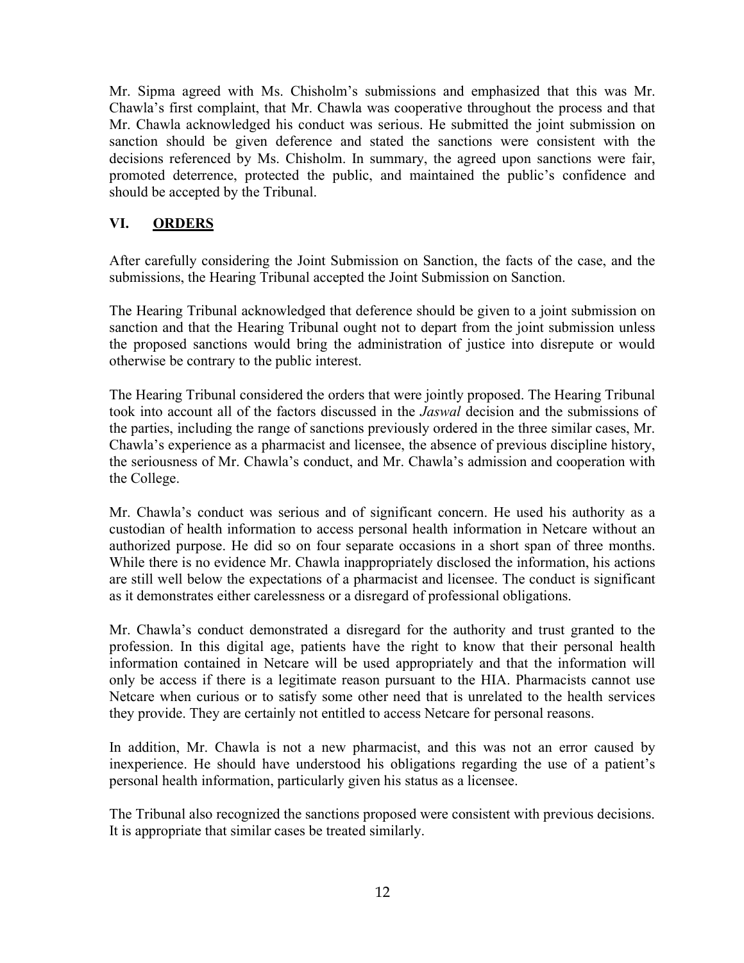Mr. Sipma agreed with Ms. Chisholm's submissions and emphasized that this was Mr. Chawla's first complaint, that Mr. Chawla was cooperative throughout the process and that Mr. Chawla acknowledged his conduct was serious. He submitted the joint submission on sanction should be given deference and stated the sanctions were consistent with the decisions referenced by Ms. Chisholm. In summary, the agreed upon sanctions were fair, promoted deterrence, protected the public, and maintained the public's confidence and should be accepted by the Tribunal.

# VI. ORDERS

After carefully considering the Joint Submission on Sanction, the facts of the case, and the submissions, the Hearing Tribunal accepted the Joint Submission on Sanction.

The Hearing Tribunal acknowledged that deference should be given to a joint submission on sanction and that the Hearing Tribunal ought not to depart from the joint submission unless the proposed sanctions would bring the administration of justice into disrepute or would otherwise be contrary to the public interest.

The Hearing Tribunal considered the orders that were jointly proposed. The Hearing Tribunal took into account all of the factors discussed in the Jaswal decision and the submissions of the parties, including the range of sanctions previously ordered in the three similar cases, Mr. Chawla's experience as a pharmacist and licensee, the absence of previous discipline history, the seriousness of Mr. Chawla's conduct, and Mr. Chawla's admission and cooperation with the College.

Mr. Chawla's conduct was serious and of significant concern. He used his authority as a custodian of health information to access personal health information in Netcare without an authorized purpose. He did so on four separate occasions in a short span of three months. While there is no evidence Mr. Chawla inappropriately disclosed the information, his actions are still well below the expectations of a pharmacist and licensee. The conduct is significant as it demonstrates either carelessness or a disregard of professional obligations.

Mr. Chawla's conduct demonstrated a disregard for the authority and trust granted to the profession. In this digital age, patients have the right to know that their personal health information contained in Netcare will be used appropriately and that the information will only be access if there is a legitimate reason pursuant to the HIA. Pharmacists cannot use Netcare when curious or to satisfy some other need that is unrelated to the health services they provide. They are certainly not entitled to access Netcare for personal reasons.

In addition, Mr. Chawla is not a new pharmacist, and this was not an error caused by inexperience. He should have understood his obligations regarding the use of a patient's personal health information, particularly given his status as a licensee.

The Tribunal also recognized the sanctions proposed were consistent with previous decisions. It is appropriate that similar cases be treated similarly.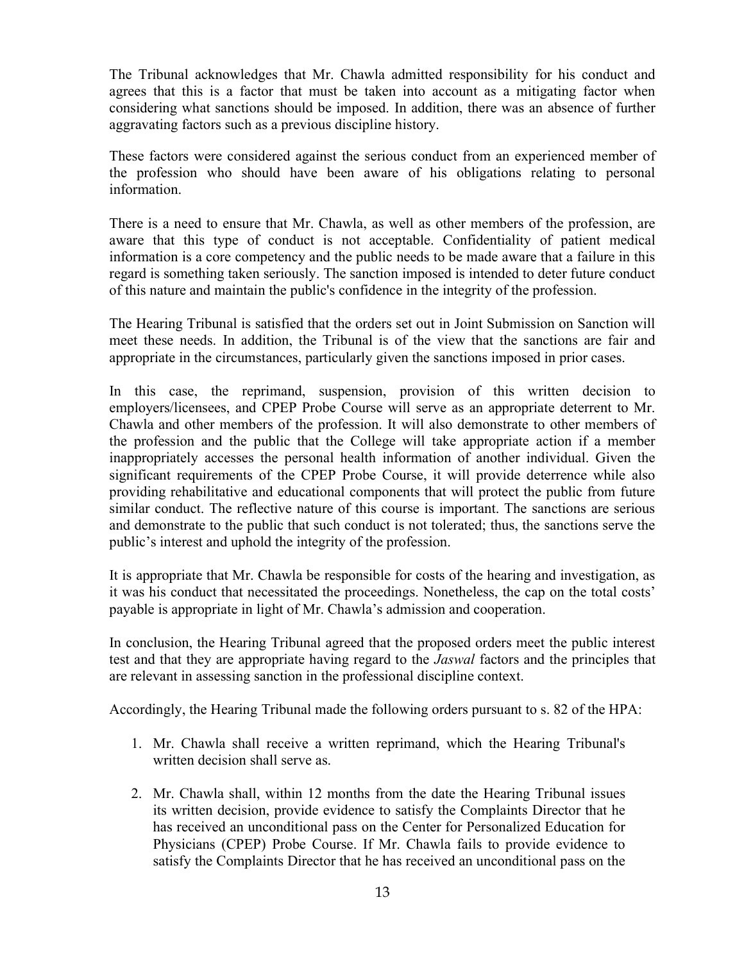The Tribunal acknowledges that Mr. Chawla admitted responsibility for his conduct and agrees that this is a factor that must be taken into account as a mitigating factor when considering what sanctions should be imposed. In addition, there was an absence of further aggravating factors such as a previous discipline history.

These factors were considered against the serious conduct from an experienced member of the profession who should have been aware of his obligations relating to personal information.

There is a need to ensure that Mr. Chawla, as well as other members of the profession, are aware that this type of conduct is not acceptable. Confidentiality of patient medical information is a core competency and the public needs to be made aware that a failure in this regard is something taken seriously. The sanction imposed is intended to deter future conduct of this nature and maintain the public's confidence in the integrity of the profession.

The Hearing Tribunal is satisfied that the orders set out in Joint Submission on Sanction will meet these needs. In addition, the Tribunal is of the view that the sanctions are fair and appropriate in the circumstances, particularly given the sanctions imposed in prior cases.

In this case, the reprimand, suspension, provision of this written decision to employers/licensees, and CPEP Probe Course will serve as an appropriate deterrent to Mr. Chawla and other members of the profession. It will also demonstrate to other members of the profession and the public that the College will take appropriate action if a member inappropriately accesses the personal health information of another individual. Given the significant requirements of the CPEP Probe Course, it will provide deterrence while also providing rehabilitative and educational components that will protect the public from future similar conduct. The reflective nature of this course is important. The sanctions are serious and demonstrate to the public that such conduct is not tolerated; thus, the sanctions serve the public's interest and uphold the integrity of the profession.

It is appropriate that Mr. Chawla be responsible for costs of the hearing and investigation, as it was his conduct that necessitated the proceedings. Nonetheless, the cap on the total costs' payable is appropriate in light of Mr. Chawla's admission and cooperation.

In conclusion, the Hearing Tribunal agreed that the proposed orders meet the public interest test and that they are appropriate having regard to the *Jaswal* factors and the principles that are relevant in assessing sanction in the professional discipline context.

Accordingly, the Hearing Tribunal made the following orders pursuant to s. 82 of the HPA:

- 1. Mr. Chawla shall receive a written reprimand, which the Hearing Tribunal's written decision shall serve as.
- 2. Mr. Chawla shall, within 12 months from the date the Hearing Tribunal issues its written decision, provide evidence to satisfy the Complaints Director that he has received an unconditional pass on the Center for Personalized Education for Physicians (CPEP) Probe Course. If Mr. Chawla fails to provide evidence to satisfy the Complaints Director that he has received an unconditional pass on the